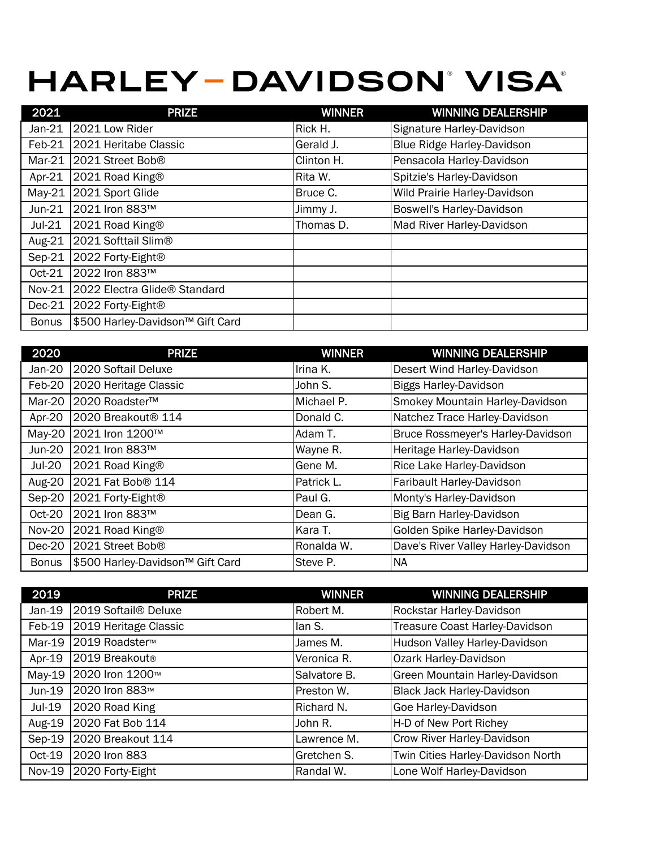## **HARLEY-DAVIDSON' VISA'**

| 2021         | <b>PRIZE</b>                     | <b>WINNER</b> | <b>WINNING DEALERSHIP</b>    |
|--------------|----------------------------------|---------------|------------------------------|
| Jan-21       | 2021 Low Rider                   | Rick H.       | Signature Harley-Davidson    |
| $Feb-21$     | 2021 Heritabe Classic            | Gerald J.     | Blue Ridge Harley-Davidson   |
| $Mar-21$     | 2021 Street Bob <sup>®</sup>     | Clinton H.    | Pensacola Harley-Davidson    |
| Apr-21       | 2021 Road King®                  | Rita W.       | Spitzie's Harley-Davidson    |
| $May-21$     | 2021 Sport Glide                 | Bruce C.      | Wild Prairie Harley-Davidson |
| $Jun-21$     | 2021 Iron 883™                   | Jimmy J.      | Boswell's Harley-Davidson    |
| $Jul-21$     | 2021 Road King®                  | Thomas D.     | Mad River Harley-Davidson    |
| Aug-21       | 2021 Softtail Slim®              |               |                              |
| $Sep-21$     | 2022 Forty-Eight®                |               |                              |
| Oct-21       | 2022 Iron 883™                   |               |                              |
| Nov-21       | 2022 Electra Glide® Standard     |               |                              |
| $Dec-21$     | 2022 Forty-Eight <sup>®</sup>    |               |                              |
| <b>Bonus</b> | \$500 Harley-Davidson™ Gift Card |               |                              |

| 2020          | <b>PRIZE</b>                     | <b>WINNER</b> | <b>WINNING DEALERSHIP</b>           |
|---------------|----------------------------------|---------------|-------------------------------------|
| Jan-20        | 2020 Softail Deluxe              | Irina K.      | Desert Wind Harley-Davidson         |
| Feb-20        | 2020 Heritage Classic            | John S.       | <b>Biggs Harley-Davidson</b>        |
| Mar-20        | 2020 Roadster™                   | Michael P.    | Smokey Mountain Harley-Davidson     |
| Apr-20        | 2020 Breakout <sup>®</sup> 114   | Donald C.     | Natchez Trace Harley-Davidson       |
| May-20        | 2021 Iron 1200™                  | Adam T.       | Bruce Rossmeyer's Harley-Davidson   |
| Jun-20        | 2021 Iron 883™                   | Wayne R.      | Heritage Harley-Davidson            |
| <b>Jul-20</b> | 2021 Road King®                  | Gene M.       | Rice Lake Harley-Davidson           |
| <b>Aug-20</b> | 2021 Fat Bob <sup>®</sup> 114    | Patrick L.    | Faribault Harley-Davidson           |
| Sep-20        | 2021 Forty-Eight®                | Paul G.       | Monty's Harley-Davidson             |
| Oct-20        | 2021 Iron 883™                   | Dean G.       | Big Barn Harley-Davidson            |
| <b>Nov-20</b> | 2021 Road King®                  | Kara T.       | Golden Spike Harley-Davidson        |
| $Dec-20$      | 2021 Street Bob®                 | Ronalda W.    | Dave's River Valley Harley-Davidson |
| <b>Bonus</b>  | \$500 Harley-Davidson™ Gift Card | Steve P.      | NA                                  |

| 2019          | <b>PRIZE</b>                     | <b>WINNER</b> | <b>WINNING DEALERSHIP</b>         |
|---------------|----------------------------------|---------------|-----------------------------------|
| Jan-19        | 2019 Softail <sup>®</sup> Deluxe | Robert M.     | Rockstar Harley-Davidson          |
| Feb-19        | 2019 Heritage Classic            | lan S.        | Treasure Coast Harley-Davidson    |
| Mar-19        | 2019 Roadster <sup>™</sup>       | James M.      | Hudson Valley Harley-Davidson     |
| Apr-19        | 2019 Breakout®                   | Veronica R.   | Ozark Harley-Davidson             |
| May-19        | 2020 Iron 1200™                  | Salvatore B.  | Green Mountain Harley-Davidson    |
| Jun-19        | 2020 Iron 883™                   | Preston W.    | Black Jack Harley-Davidson        |
| Jul-19        | 2020 Road King                   | Richard N.    | Goe Harley-Davidson               |
| Aug-19        | 2020 Fat Bob 114                 | John R.       | H-D of New Port Richey            |
| $Sep-19$      | 2020 Breakout 114                | Lawrence M.   | Crow River Harley-Davidson        |
| $Oct-19$      | 2020 Iron 883                    | Gretchen S.   | Twin Cities Harley-Davidson North |
| <b>Nov-19</b> | 2020 Forty-Eight                 | Randal W.     | Lone Wolf Harley-Davidson         |